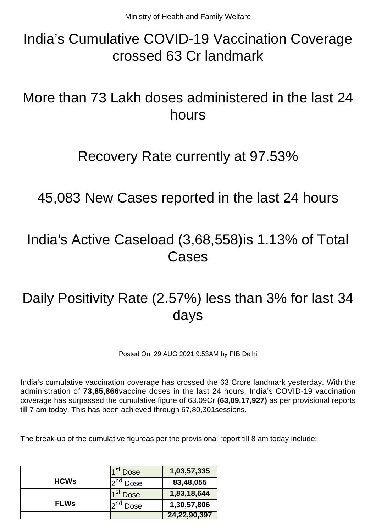# India's Cumulative COVID-19 Vaccination Coverage crossed 63 Cr landmark

# More than 73 Lakh doses administered in the last 24 hours

### Recovery Rate currently at 97.53%

45,083 New Cases reported in the last 24 hours

## India's Active Caseload (3,68,558)is 1.13% of Total **Cases**

# Daily Positivity Rate (2.57%) less than 3% for last 34 days

Posted On: 29 AUG 2021 9:53AM by PIB Delhi

India's cumulative vaccination coverage has crossed the 63 Crore landmark yesterday. With the administration of **73,85,866**vaccine doses in the last 24 hours, India's COVID-19 vaccination coverage has surpassed the cumulative figure of 63.09Cr **(63,09,17,927)** as per provisional reports till 7 am today. This has been achieved through 67,80,301sessions.

The break-up of the cumulative figureas per the provisional report till 8 am today include:

|             | ı St<br>Dose | 1,03,57,335  |
|-------------|--------------|--------------|
| <b>HCWs</b> | Dose         | 83,48,055    |
|             | ⊿ st<br>Dose | 1,83,18,644  |
| <b>FLWs</b> | Dose         | 1,30,57,806  |
|             |              | 24,22,90,397 |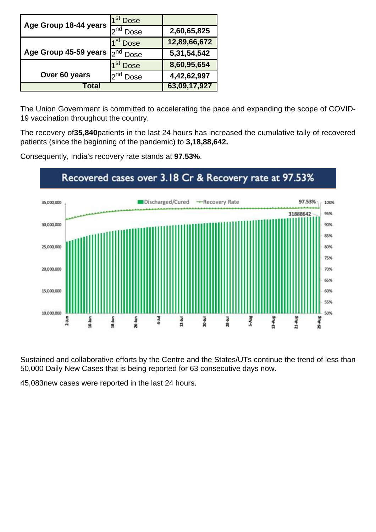| Age Group 18-44 years | 4 St<br><b>Dose</b>            |                |
|-----------------------|--------------------------------|----------------|
|                       | Dose                           | 2,60,65,825    |
|                       | 4 <sup>St</sup><br><b>Dose</b> | 12,89,66,672   |
| Age Group 45-59 years | $I2$ nd<br>Dose                | 5, 31, 54, 542 |
|                       | <b>Dose</b>                    | 8,60,95,654    |
| Over 60 years         | Dose                           | 4,42,62,997    |
| Total                 |                                | 63,09,17,927   |

The Union Government is committed to accelerating the pace and expanding the scope of COVID-19 vaccination throughout the country.

The recovery of**35,840**patients in the last 24 hours has increased the cumulative tally of recovered patients (since the beginning of the pandemic) to **3,18,88,642.**

Consequently, India's recovery rate stands at **97.53%**.



Sustained and collaborative efforts by the Centre and the States/UTs continue the trend of less than 50,000 Daily New Cases that is being reported for 63 consecutive days now.

45,083new cases were reported in the last 24 hours.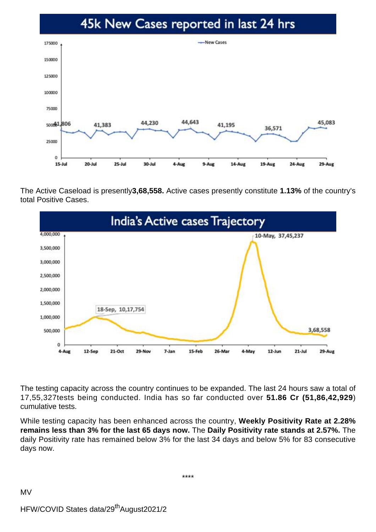#### 45k New Cases reported in last 24 hrs



The Active Caseload is presently**3,68,558.** Active cases presently constitute **1.13%** of the country's total Positive Cases.



The testing capacity across the country continues to be expanded. The last 24 hours saw a total of 17,55,327tests being conducted. India has so far conducted over **51.86 Cr (51,86,42,929**) cumulative tests.

While testing capacity has been enhanced across the country, **Weekly Positivity Rate at 2.28% remains less than 3% for the last 65 days now.** The **Daily Positivity rate stands at 2.57%.** The daily Positivity rate has remained below 3% for the last 34 days and below 5% for 83 consecutive days now.